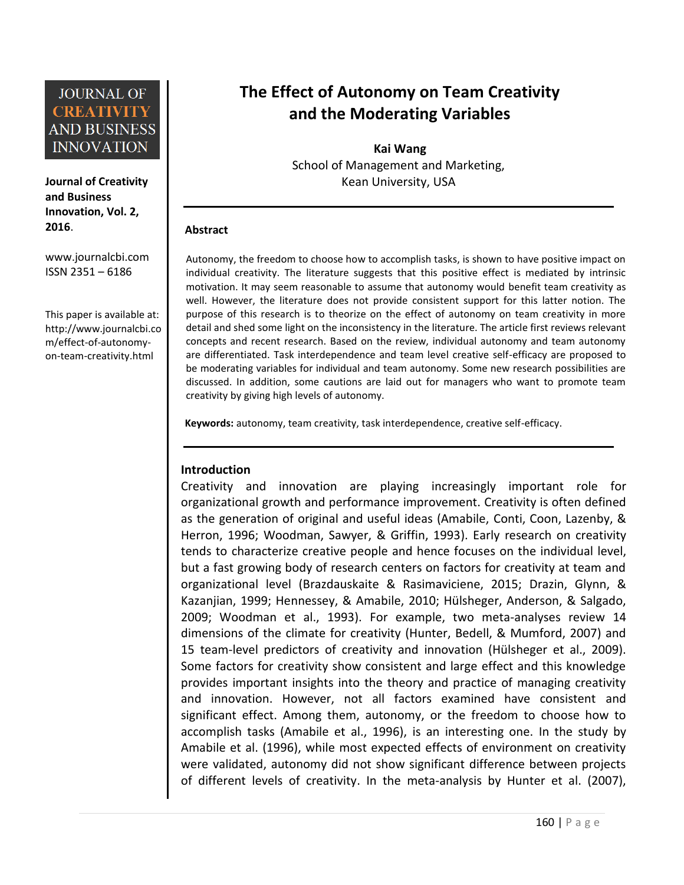**Journal of Creativity and Business Innovation, Vol. 2, 2016**.

[www.journalcbi.com](http://www.journalcbi.com/) ISSN 2351 – 6186

This paper is available at: [http://www.journalcbi.co](http://www.journalcbi.com/ideation-using-analogies.html) [m/effect-of-autonomy](http://www.journalcbi.com/ideation-using-analogies.html)[on-team-creativity.html](http://www.journalcbi.com/ideation-using-analogies.html)

# **The Effect of Autonomy on Team Creativity and the Moderating Variables**

**Kai Wang** School of Management and Marketing, Kean University, USA

### **Abstract**

Autonomy, the freedom to choose how to accomplish tasks, is shown to have positive impact on individual creativity. The literature suggests that this positive effect is mediated by intrinsic motivation. It may seem reasonable to assume that autonomy would benefit team creativity as well. However, the literature does not provide consistent support for this latter notion. The purpose of this research is to theorize on the effect of autonomy on team creativity in more detail and shed some light on the inconsistency in the literature. The article first reviews relevant concepts and recent research. Based on the review, individual autonomy and team autonomy are differentiated. Task interdependence and team level creative self-efficacy are proposed to be moderating variables for individual and team autonomy. Some new research possibilities are discussed. In addition, some cautions are laid out for managers who want to promote team creativity by giving high levels of autonomy.

**Keywords:** autonomy, team creativity, task interdependence, creative self-efficacy.

### **Introduction**

Creativity and innovation are playing increasingly important role for organizational growth and performance improvement. Creativity is often defined as the generation of original and useful ideas (Amabile, Conti, Coon, Lazenby, & Herron, 1996; Woodman, Sawyer, & Griffin, 1993). Early research on creativity tends to characterize creative people and hence focuses on the individual level, but a fast growing body of research centers on factors for creativity at team and organizational level (Brazdauskaite & Rasimaviciene, 2015; Drazin, Glynn, & Kazanjian, 1999; Hennessey, & Amabile, 2010; Hülsheger, Anderson, & Salgado, 2009; Woodman et al., 1993). For example, two meta-analyses review 14 dimensions of the climate for creativity (Hunter, Bedell, & Mumford, 2007) and 15 team-level predictors of creativity and innovation (Hülsheger et al., 2009). Some factors for creativity show consistent and large effect and this knowledge provides important insights into the theory and practice of managing creativity and innovation. However, not all factors examined have consistent and significant effect. Among them, autonomy, or the freedom to choose how to accomplish tasks (Amabile et al., 1996), is an interesting one. In the study by Amabile et al. (1996), while most expected effects of environment on creativity were validated, autonomy did not show significant difference between projects of different levels of creativity. In the meta-analysis by Hunter et al. (2007),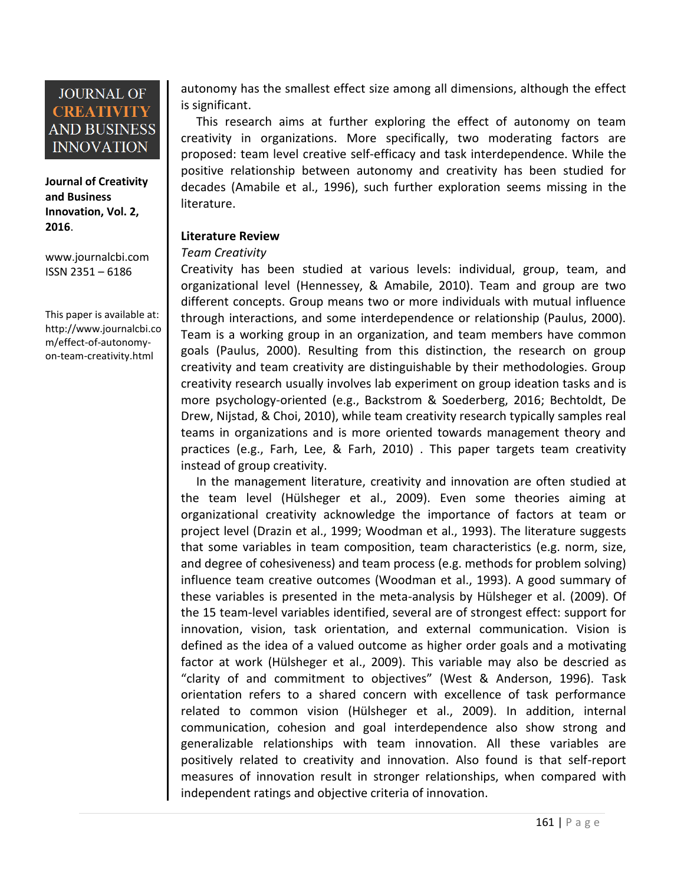**Journal of Creativity and Business Innovation, Vol. 2, 2016**.

[www.journalcbi.com](http://www.journalcbi.com/) ISSN 2351 – 6186

This paper is available at: [http://www.journalcbi.co](http://www.journalcbi.com/ideation-using-analogies.html) [m/effect-of-autonomy](http://www.journalcbi.com/ideation-using-analogies.html)[on-team-creativity.html](http://www.journalcbi.com/ideation-using-analogies.html)

autonomy has the smallest effect size among all dimensions, although the effect is significant.

This research aims at further exploring the effect of autonomy on team creativity in organizations. More specifically, two moderating factors are proposed: team level creative self-efficacy and task interdependence. While the positive relationship between autonomy and creativity has been studied for decades (Amabile et al., 1996), such further exploration seems missing in the literature.

### **Literature Review**

### *Team Creativity*

Creativity has been studied at various levels: individual, group, team, and organizational level (Hennessey, & Amabile, 2010). Team and group are two different concepts. Group means two or more individuals with mutual influence through interactions, and some interdependence or relationship (Paulus, 2000). Team is a working group in an organization, and team members have common goals (Paulus, 2000). Resulting from this distinction, the research on group creativity and team creativity are distinguishable by their methodologies. Group creativity research usually involves lab experiment on group ideation tasks and is more psychology-oriented (e.g., Backstrom & Soederberg, 2016; Bechtoldt, De Drew, Nijstad, & Choi, 2010), while team creativity research typically samples real teams in organizations and is more oriented towards management theory and practices (e.g., Farh, Lee, & Farh, 2010) . This paper targets team creativity instead of group creativity.

In the management literature, creativity and innovation are often studied at the team level (Hülsheger et al., 2009). Even some theories aiming at organizational creativity acknowledge the importance of factors at team or project level (Drazin et al., 1999; Woodman et al., 1993). The literature suggests that some variables in team composition, team characteristics (e.g. norm, size, and degree of cohesiveness) and team process (e.g. methods for problem solving) influence team creative outcomes (Woodman et al., 1993). A good summary of these variables is presented in the meta-analysis by Hülsheger et al. (2009). Of the 15 team-level variables identified, several are of strongest effect: support for innovation, vision, task orientation, and external communication. Vision is defined as the idea of a valued outcome as higher order goals and a motivating factor at work (Hülsheger et al., 2009). This variable may also be descried as "clarity of and commitment to objectives" (West & Anderson, 1996). Task orientation refers to a shared concern with excellence of task performance related to common vision (Hülsheger et al., 2009). In addition, internal communication, cohesion and goal interdependence also show strong and generalizable relationships with team innovation. All these variables are positively related to creativity and innovation. Also found is that self-report measures of innovation result in stronger relationships, when compared with independent ratings and objective criteria of innovation.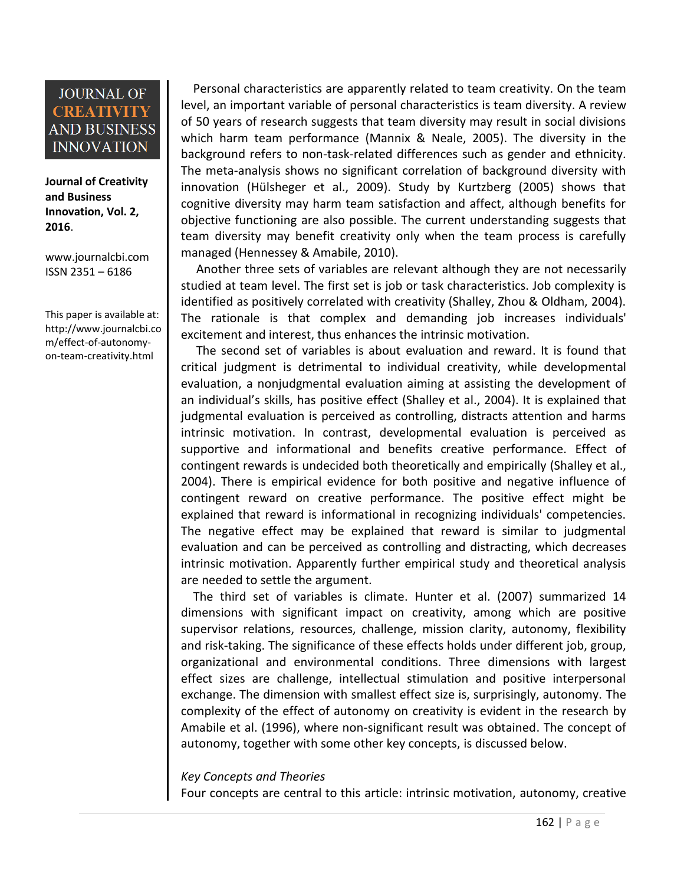**Journal of Creativity and Business Innovation, Vol. 2, 2016**.

[www.journalcbi.com](http://www.journalcbi.com/) ISSN 2351 – 6186

This paper is available at: [http://www.journalcbi.co](http://www.journalcbi.com/ideation-using-analogies.html) [m/effect-of-autonomy](http://www.journalcbi.com/ideation-using-analogies.html)[on-team-creativity.html](http://www.journalcbi.com/ideation-using-analogies.html)

Personal characteristics are apparently related to team creativity. On the team level, an important variable of personal characteristics is team diversity. A review of 50 years of research suggests that team diversity may result in social divisions which harm team performance (Mannix & Neale, 2005). The diversity in the background refers to non-task-related differences such as gender and ethnicity. The meta-analysis shows no significant correlation of background diversity with innovation (Hülsheger et al., 2009). Study by Kurtzberg (2005) shows that cognitive diversity may harm team satisfaction and affect, although benefits for objective functioning are also possible. The current understanding suggests that team diversity may benefit creativity only when the team process is carefully managed (Hennessey & Amabile, 2010).

Another three sets of variables are relevant although they are not necessarily studied at team level. The first set is job or task characteristics. Job complexity is identified as positively correlated with creativity (Shalley, Zhou & Oldham, 2004). The rationale is that complex and demanding job increases individuals' excitement and interest, thus enhances the intrinsic motivation.

The second set of variables is about evaluation and reward. It is found that critical judgment is detrimental to individual creativity, while developmental evaluation, a nonjudgmental evaluation aiming at assisting the development of an individual's skills, has positive effect (Shalley et al., 2004). It is explained that judgmental evaluation is perceived as controlling, distracts attention and harms intrinsic motivation. In contrast, developmental evaluation is perceived as supportive and informational and benefits creative performance. Effect of contingent rewards is undecided both theoretically and empirically (Shalley et al., 2004). There is empirical evidence for both positive and negative influence of contingent reward on creative performance. The positive effect might be explained that reward is informational in recognizing individuals' competencies. The negative effect may be explained that reward is similar to judgmental evaluation and can be perceived as controlling and distracting, which decreases intrinsic motivation. Apparently further empirical study and theoretical analysis are needed to settle the argument.

The third set of variables is climate. Hunter et al. (2007) summarized 14 dimensions with significant impact on creativity, among which are positive supervisor relations, resources, challenge, mission clarity, autonomy, flexibility and risk-taking. The significance of these effects holds under different job, group, organizational and environmental conditions. Three dimensions with largest effect sizes are challenge, intellectual stimulation and positive interpersonal exchange. The dimension with smallest effect size is, surprisingly, autonomy. The complexity of the effect of autonomy on creativity is evident in the research by Amabile et al. (1996), where non-significant result was obtained. The concept of autonomy, together with some other key concepts, is discussed below.

#### *Key Concepts and Theories*

Four concepts are central to this article: intrinsic motivation, autonomy, creative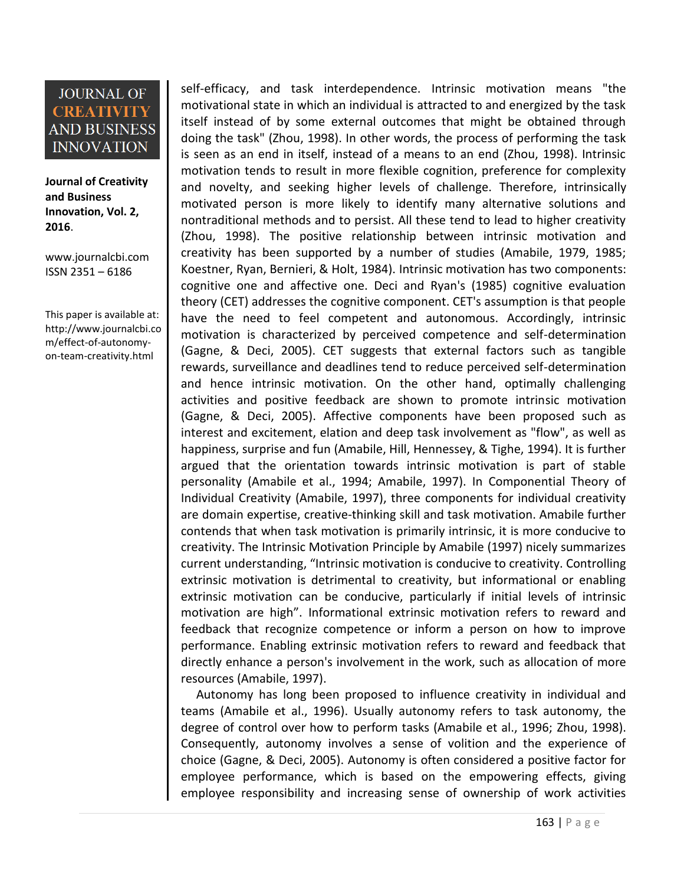**Journal of Creativity and Business Innovation, Vol. 2, 2016**.

[www.journalcbi.com](http://www.journalcbi.com/) ISSN 2351 – 6186

This paper is available at: [http://www.journalcbi.co](http://www.journalcbi.com/ideation-using-analogies.html) [m/effect-of-autonomy](http://www.journalcbi.com/ideation-using-analogies.html)[on-team-creativity.html](http://www.journalcbi.com/ideation-using-analogies.html)

self-efficacy, and task interdependence. Intrinsic motivation means "the motivational state in which an individual is attracted to and energized by the task itself instead of by some external outcomes that might be obtained through doing the task" (Zhou, 1998). In other words, the process of performing the task is seen as an end in itself, instead of a means to an end (Zhou, 1998). Intrinsic motivation tends to result in more flexible cognition, preference for complexity and novelty, and seeking higher levels of challenge. Therefore, intrinsically motivated person is more likely to identify many alternative solutions and nontraditional methods and to persist. All these tend to lead to higher creativity (Zhou, 1998). The positive relationship between intrinsic motivation and creativity has been supported by a number of studies (Amabile, 1979, 1985; Koestner, Ryan, Bernieri, & Holt, 1984). Intrinsic motivation has two components: cognitive one and affective one. Deci and Ryan's (1985) cognitive evaluation theory (CET) addresses the cognitive component. CET's assumption is that people have the need to feel competent and autonomous. Accordingly, intrinsic motivation is characterized by perceived competence and self-determination (Gagne, & Deci, 2005). CET suggests that external factors such as tangible rewards, surveillance and deadlines tend to reduce perceived self-determination and hence intrinsic motivation. On the other hand, optimally challenging activities and positive feedback are shown to promote intrinsic motivation (Gagne, & Deci, 2005). Affective components have been proposed such as interest and excitement, elation and deep task involvement as "flow", as well as happiness, surprise and fun (Amabile, Hill, Hennessey, & Tighe, 1994). It is further argued that the orientation towards intrinsic motivation is part of stable personality (Amabile et al., 1994; Amabile, 1997). In Componential Theory of Individual Creativity (Amabile, 1997), three components for individual creativity are domain expertise, creative-thinking skill and task motivation. Amabile further contends that when task motivation is primarily intrinsic, it is more conducive to creativity. The Intrinsic Motivation Principle by Amabile (1997) nicely summarizes current understanding, "Intrinsic motivation is conducive to creativity. Controlling extrinsic motivation is detrimental to creativity, but informational or enabling extrinsic motivation can be conducive, particularly if initial levels of intrinsic motivation are high". Informational extrinsic motivation refers to reward and feedback that recognize competence or inform a person on how to improve performance. Enabling extrinsic motivation refers to reward and feedback that directly enhance a person's involvement in the work, such as allocation of more resources (Amabile, 1997).

Autonomy has long been proposed to influence creativity in individual and teams (Amabile et al., 1996). Usually autonomy refers to task autonomy, the degree of control over how to perform tasks (Amabile et al., 1996; Zhou, 1998). Consequently, autonomy involves a sense of volition and the experience of choice (Gagne, & Deci, 2005). Autonomy is often considered a positive factor for employee performance, which is based on the empowering effects, giving employee responsibility and increasing sense of ownership of work activities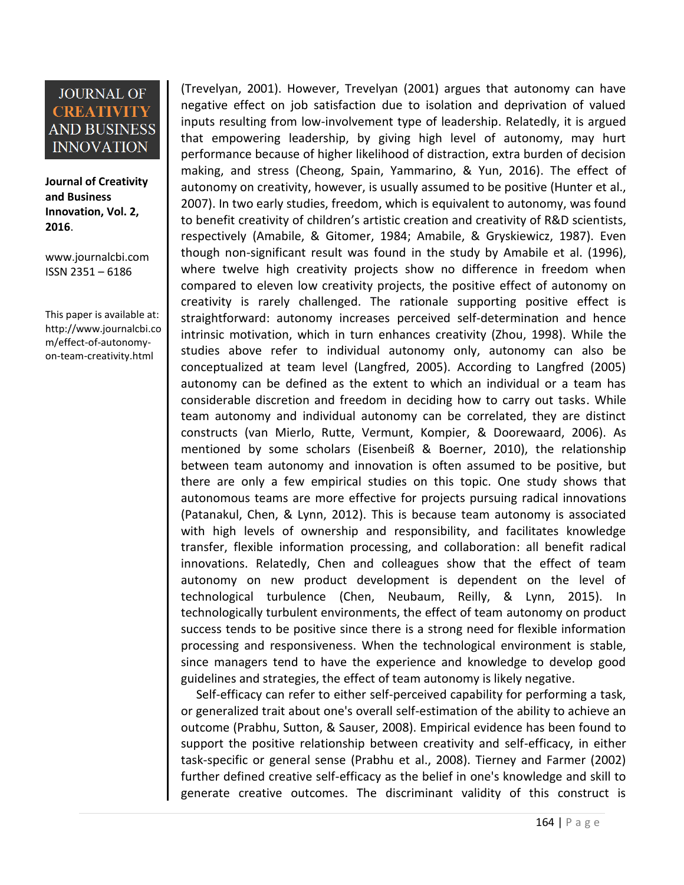**Journal of Creativity and Business Innovation, Vol. 2, 2016**.

[www.journalcbi.com](http://www.journalcbi.com/) ISSN 2351 – 6186

This paper is available at: [http://www.journalcbi.co](http://www.journalcbi.com/ideation-using-analogies.html) [m/effect-of-autonomy](http://www.journalcbi.com/ideation-using-analogies.html)[on-team-creativity.html](http://www.journalcbi.com/ideation-using-analogies.html)

(Trevelyan, 2001). However, Trevelyan (2001) argues that autonomy can have negative effect on job satisfaction due to isolation and deprivation of valued inputs resulting from low-involvement type of leadership. Relatedly, it is argued that empowering leadership, by giving high level of autonomy, may hurt performance because of higher likelihood of distraction, extra burden of decision making, and stress (Cheong, Spain, Yammarino, & Yun, 2016). The effect of autonomy on creativity, however, is usually assumed to be positive (Hunter et al., 2007). In two early studies, freedom, which is equivalent to autonomy, was found to benefit creativity of children's artistic creation and creativity of R&D scientists, respectively (Amabile, & Gitomer, 1984; Amabile, & Gryskiewicz, 1987). Even though non-significant result was found in the study by Amabile et al. (1996), where twelve high creativity projects show no difference in freedom when compared to eleven low creativity projects, the positive effect of autonomy on creativity is rarely challenged. The rationale supporting positive effect is straightforward: autonomy increases perceived self-determination and hence intrinsic motivation, which in turn enhances creativity (Zhou, 1998). While the studies above refer to individual autonomy only, autonomy can also be conceptualized at team level (Langfred, 2005). According to Langfred (2005) autonomy can be defined as the extent to which an individual or a team has considerable discretion and freedom in deciding how to carry out tasks. While team autonomy and individual autonomy can be correlated, they are distinct constructs (van Mierlo, Rutte, Vermunt, Kompier, & Doorewaard, 2006). As mentioned by some scholars (Eisenbeiß & Boerner, 2010), the relationship between team autonomy and innovation is often assumed to be positive, but there are only a few empirical studies on this topic. One study shows that autonomous teams are more effective for projects pursuing radical innovations (Patanakul, Chen, & Lynn, 2012). This is because team autonomy is associated with high levels of ownership and responsibility, and facilitates knowledge transfer, flexible information processing, and collaboration: all benefit radical innovations. Relatedly, Chen and colleagues show that the effect of team autonomy on new product development is dependent on the level of technological turbulence (Chen, Neubaum, Reilly, & Lynn, 2015). In technologically turbulent environments, the effect of team autonomy on product success tends to be positive since there is a strong need for flexible information processing and responsiveness. When the technological environment is stable, since managers tend to have the experience and knowledge to develop good guidelines and strategies, the effect of team autonomy is likely negative.

Self-efficacy can refer to either self-perceived capability for performing a task, or generalized trait about one's overall self-estimation of the ability to achieve an outcome (Prabhu, Sutton, & Sauser, 2008). Empirical evidence has been found to support the positive relationship between creativity and self-efficacy, in either task-specific or general sense (Prabhu et al., 2008). Tierney and Farmer (2002) further defined creative self-efficacy as the belief in one's knowledge and skill to generate creative outcomes. The discriminant validity of this construct is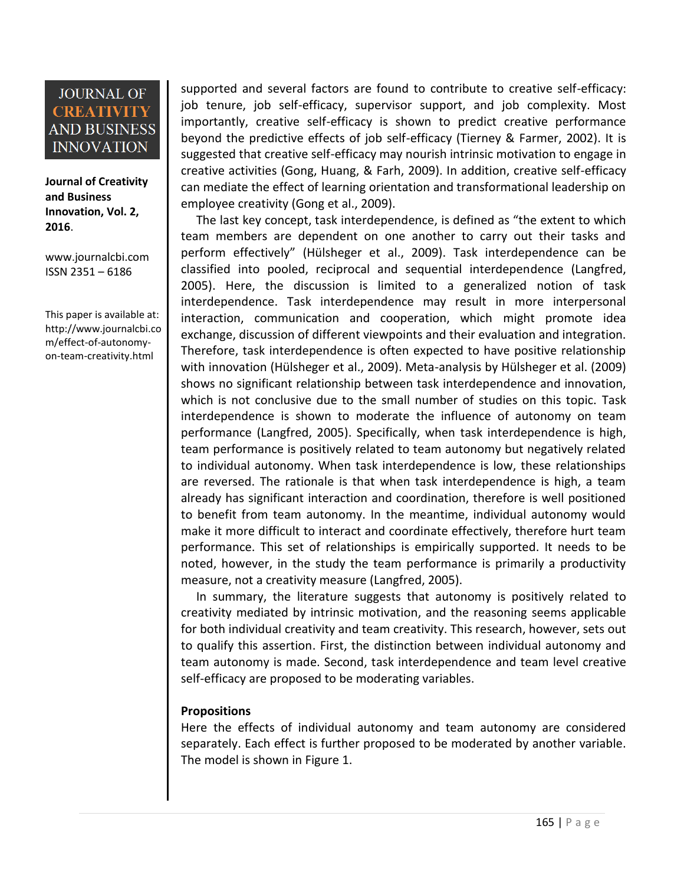**Journal of Creativity and Business Innovation, Vol. 2, 2016**.

[www.journalcbi.com](http://www.journalcbi.com/) ISSN 2351 – 6186

This paper is available at: [http://www.journalcbi.co](http://www.journalcbi.com/ideation-using-analogies.html) [m/effect-of-autonomy](http://www.journalcbi.com/ideation-using-analogies.html)[on-team-creativity.html](http://www.journalcbi.com/ideation-using-analogies.html)

supported and several factors are found to contribute to creative self-efficacy: job tenure, job self-efficacy, supervisor support, and job complexity. Most importantly, creative self-efficacy is shown to predict creative performance beyond the predictive effects of job self-efficacy (Tierney & Farmer, 2002). It is suggested that creative self-efficacy may nourish intrinsic motivation to engage in creative activities (Gong, Huang, & Farh, 2009). In addition, creative self-efficacy can mediate the effect of learning orientation and transformational leadership on employee creativity (Gong et al., 2009).

The last key concept, task interdependence, is defined as "the extent to which team members are dependent on one another to carry out their tasks and perform effectively" (Hülsheger et al., 2009). Task interdependence can be classified into pooled, reciprocal and sequential interdependence (Langfred, 2005). Here, the discussion is limited to a generalized notion of task interdependence. Task interdependence may result in more interpersonal interaction, communication and cooperation, which might promote idea exchange, discussion of different viewpoints and their evaluation and integration. Therefore, task interdependence is often expected to have positive relationship with innovation (Hülsheger et al., 2009). Meta-analysis by Hülsheger et al. (2009) shows no significant relationship between task interdependence and innovation, which is not conclusive due to the small number of studies on this topic. Task interdependence is shown to moderate the influence of autonomy on team performance (Langfred, 2005). Specifically, when task interdependence is high, team performance is positively related to team autonomy but negatively related to individual autonomy. When task interdependence is low, these relationships are reversed. The rationale is that when task interdependence is high, a team already has significant interaction and coordination, therefore is well positioned to benefit from team autonomy. In the meantime, individual autonomy would make it more difficult to interact and coordinate effectively, therefore hurt team performance. This set of relationships is empirically supported. It needs to be noted, however, in the study the team performance is primarily a productivity measure, not a creativity measure (Langfred, 2005).

In summary, the literature suggests that autonomy is positively related to creativity mediated by intrinsic motivation, and the reasoning seems applicable for both individual creativity and team creativity. This research, however, sets out to qualify this assertion. First, the distinction between individual autonomy and team autonomy is made. Second, task interdependence and team level creative self-efficacy are proposed to be moderating variables.

### **Propositions**

Here the effects of individual autonomy and team autonomy are considered separately. Each effect is further proposed to be moderated by another variable. The model is shown in Figure 1.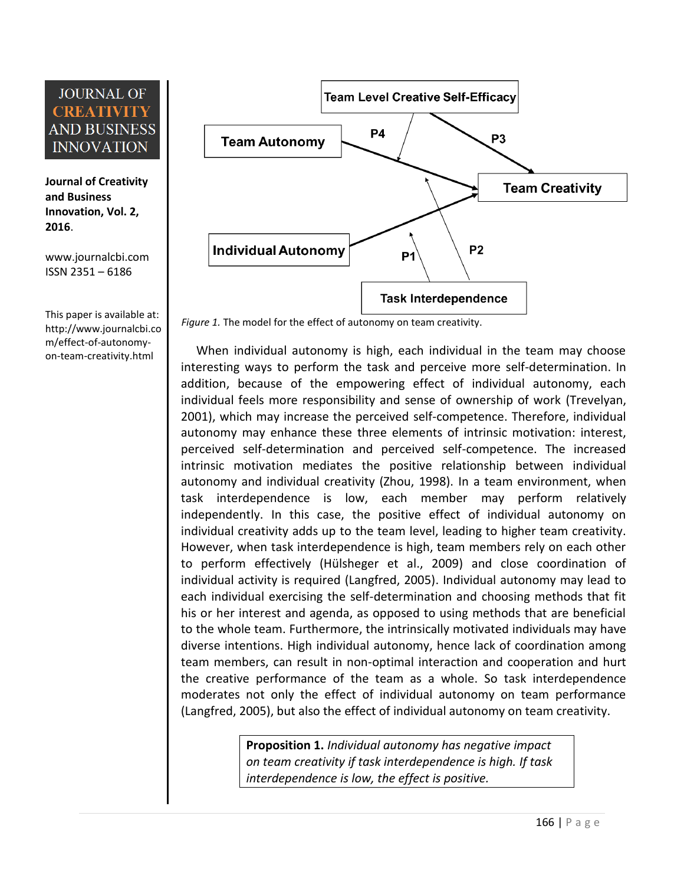**Journal of Creativity and Business Innovation, Vol. 2, 2016**.

[www.journalcbi.com](http://www.journalcbi.com/) ISSN 2351 – 6186

This paper is available at: [http://www.journalcbi.co](http://www.journalcbi.com/ideation-using-analogies.html) [m/effect-of-autonomy](http://www.journalcbi.com/ideation-using-analogies.html)[on-team-creativity.html](http://www.journalcbi.com/ideation-using-analogies.html)



*Figure 1.* The model for the effect of autonomy on team creativity.

When individual autonomy is high, each individual in the team may choose interesting ways to perform the task and perceive more self-determination. In addition, because of the empowering effect of individual autonomy, each individual feels more responsibility and sense of ownership of work (Trevelyan, 2001), which may increase the perceived self-competence. Therefore, individual autonomy may enhance these three elements of intrinsic motivation: interest, perceived self-determination and perceived self-competence. The increased intrinsic motivation mediates the positive relationship between individual autonomy and individual creativity (Zhou, 1998). In a team environment, when task interdependence is low, each member may perform relatively independently. In this case, the positive effect of individual autonomy on individual creativity adds up to the team level, leading to higher team creativity. However, when task interdependence is high, team members rely on each other to perform effectively (Hülsheger et al., 2009) and close coordination of individual activity is required (Langfred, 2005). Individual autonomy may lead to each individual exercising the self-determination and choosing methods that fit his or her interest and agenda, as opposed to using methods that are beneficial to the whole team. Furthermore, the intrinsically motivated individuals may have diverse intentions. High individual autonomy, hence lack of coordination among team members, can result in non-optimal interaction and cooperation and hurt the creative performance of the team as a whole. So task interdependence moderates not only the effect of individual autonomy on team performance (Langfred, 2005), but also the effect of individual autonomy on team creativity.

> **Proposition 1.** *Individual autonomy has negative impact on team creativity if task interdependence is high. If task interdependence is low, the effect is positive.*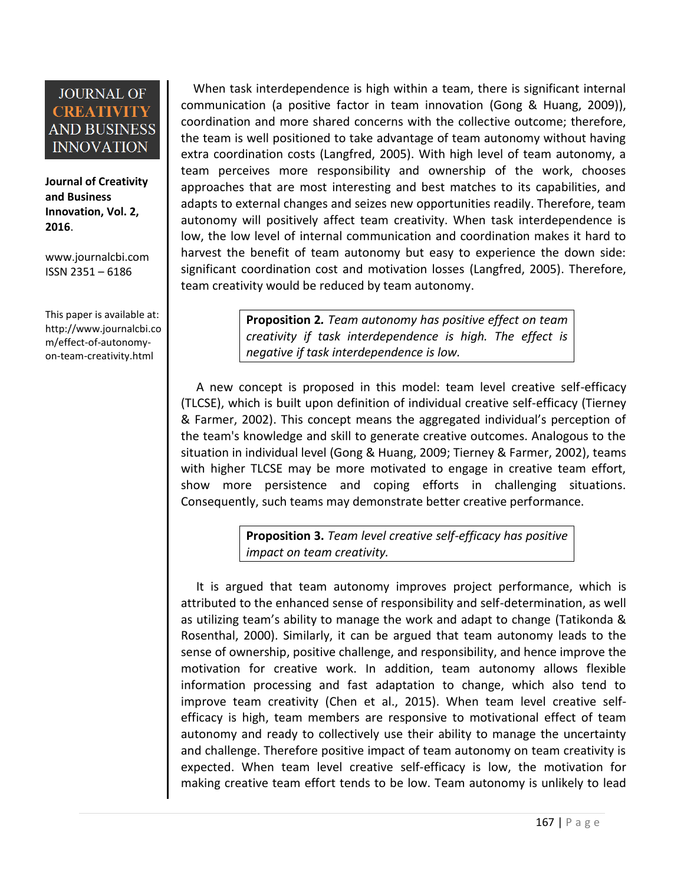**Journal of Creativity and Business Innovation, Vol. 2, 2016**.

[www.journalcbi.com](http://www.journalcbi.com/) ISSN 2351 – 6186

This paper is available at: [http://www.journalcbi.co](http://www.journalcbi.com/ideation-using-analogies.html) [m/effect-of-autonomy](http://www.journalcbi.com/ideation-using-analogies.html)[on-team-creativity.html](http://www.journalcbi.com/ideation-using-analogies.html)

When task interdependence is high within a team, there is significant internal communication (a positive factor in team innovation (Gong & Huang, 2009)), coordination and more shared concerns with the collective outcome; therefore, the team is well positioned to take advantage of team autonomy without having extra coordination costs (Langfred, 2005). With high level of team autonomy, a team perceives more responsibility and ownership of the work, chooses approaches that are most interesting and best matches to its capabilities, and adapts to external changes and seizes new opportunities readily. Therefore, team autonomy will positively affect team creativity. When task interdependence is low, the low level of internal communication and coordination makes it hard to harvest the benefit of team autonomy but easy to experience the down side: significant coordination cost and motivation losses (Langfred, 2005). Therefore, team creativity would be reduced by team autonomy.

> **Proposition 2***. Team autonomy has positive effect on team creativity if task interdependence is high. The effect is negative if task interdependence is low.*

A new concept is proposed in this model: team level creative self-efficacy (TLCSE), which is built upon definition of individual creative self-efficacy (Tierney & Farmer, 2002). This concept means the aggregated individual's perception of the team's knowledge and skill to generate creative outcomes. Analogous to the situation in individual level (Gong & Huang, 2009; Tierney & Farmer, 2002), teams with higher TLCSE may be more motivated to engage in creative team effort, show more persistence and coping efforts in challenging situations. Consequently, such teams may demonstrate better creative performance.

> **Proposition 3.** *Team level creative self-efficacy has positive impact on team creativity.*

It is argued that team autonomy improves project performance, which is attributed to the enhanced sense of responsibility and self-determination, as well as utilizing team's ability to manage the work and adapt to change (Tatikonda & Rosenthal, 2000). Similarly, it can be argued that team autonomy leads to the sense of ownership, positive challenge, and responsibility, and hence improve the motivation for creative work. In addition, team autonomy allows flexible information processing and fast adaptation to change, which also tend to improve team creativity (Chen et al., 2015). When team level creative selfefficacy is high, team members are responsive to motivational effect of team autonomy and ready to collectively use their ability to manage the uncertainty and challenge. Therefore positive impact of team autonomy on team creativity is expected. When team level creative self-efficacy is low, the motivation for making creative team effort tends to be low. Team autonomy is unlikely to lead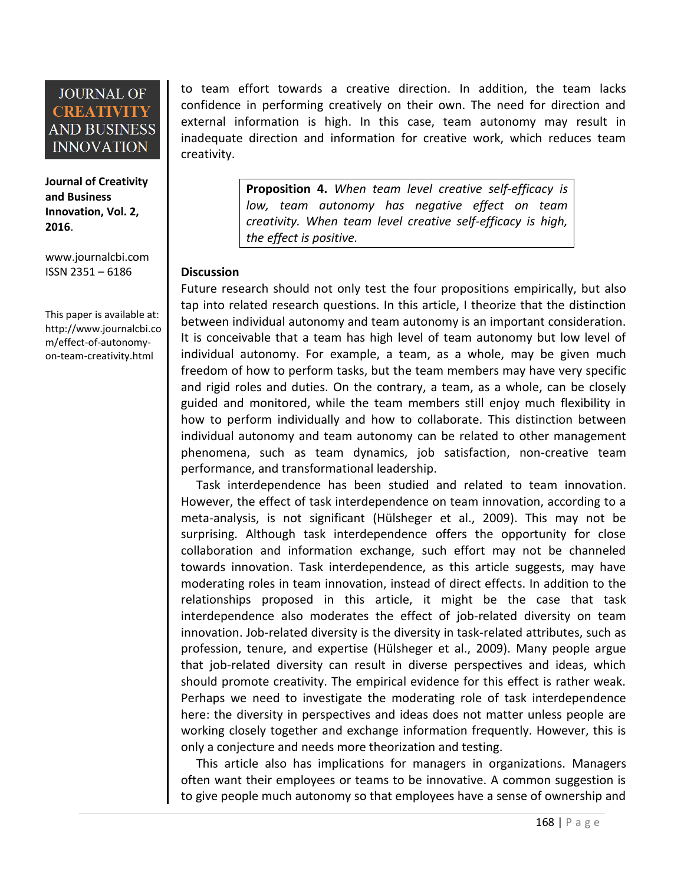**Journal of Creativity and Business Innovation, Vol. 2, 2016**.

[www.journalcbi.com](http://www.journalcbi.com/) ISSN 2351 – 6186

This paper is available at: [http://www.journalcbi.co](http://www.journalcbi.com/ideation-using-analogies.html) [m/effect-of-autonomy](http://www.journalcbi.com/ideation-using-analogies.html)[on-team-creativity.html](http://www.journalcbi.com/ideation-using-analogies.html)

to team effort towards a creative direction. In addition, the team lacks confidence in performing creatively on their own. The need for direction and external information is high. In this case, team autonomy may result in inadequate direction and information for creative work, which reduces team creativity.

> **Proposition 4.** *When team level creative self-efficacy is low, team autonomy has negative effect on team creativity. When team level creative self-efficacy is high, the effect is positive.*

### **Discussion**

Future research should not only test the four propositions empirically, but also tap into related research questions. In this article, I theorize that the distinction between individual autonomy and team autonomy is an important consideration. It is conceivable that a team has high level of team autonomy but low level of individual autonomy. For example, a team, as a whole, may be given much freedom of how to perform tasks, but the team members may have very specific and rigid roles and duties. On the contrary, a team, as a whole, can be closely guided and monitored, while the team members still enjoy much flexibility in how to perform individually and how to collaborate. This distinction between individual autonomy and team autonomy can be related to other management phenomena, such as team dynamics, job satisfaction, non-creative team performance, and transformational leadership.

Task interdependence has been studied and related to team innovation. However, the effect of task interdependence on team innovation, according to a meta-analysis, is not significant (Hülsheger et al., 2009). This may not be surprising. Although task interdependence offers the opportunity for close collaboration and information exchange, such effort may not be channeled towards innovation. Task interdependence, as this article suggests, may have moderating roles in team innovation, instead of direct effects. In addition to the relationships proposed in this article, it might be the case that task interdependence also moderates the effect of job-related diversity on team innovation. Job-related diversity is the diversity in task-related attributes, such as profession, tenure, and expertise (Hülsheger et al., 2009). Many people argue that job-related diversity can result in diverse perspectives and ideas, which should promote creativity. The empirical evidence for this effect is rather weak. Perhaps we need to investigate the moderating role of task interdependence here: the diversity in perspectives and ideas does not matter unless people are working closely together and exchange information frequently. However, this is only a conjecture and needs more theorization and testing.

This article also has implications for managers in organizations. Managers often want their employees or teams to be innovative. A common suggestion is to give people much autonomy so that employees have a sense of ownership and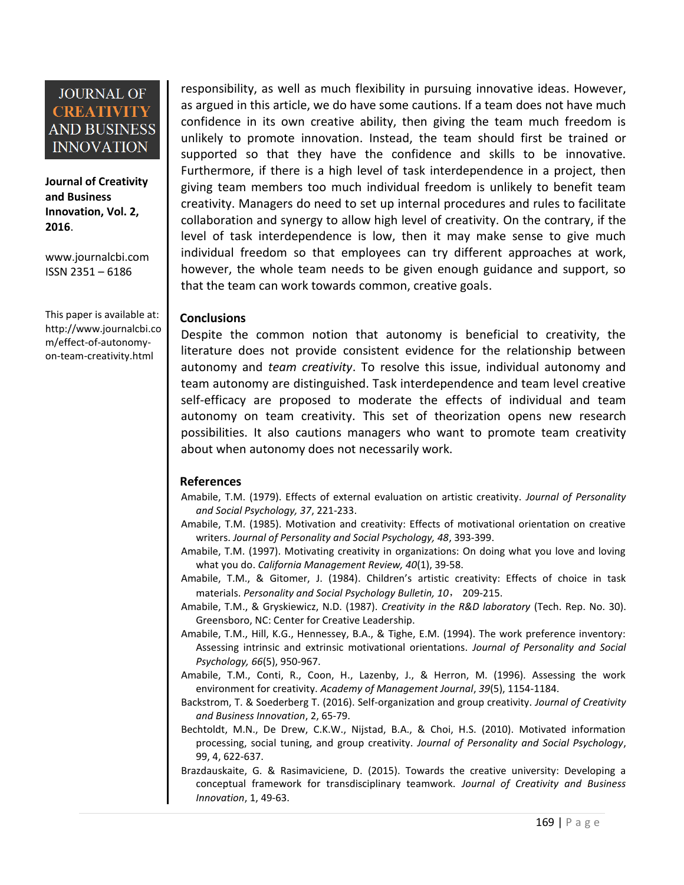**Journal of Creativity and Business Innovation, Vol. 2, 2016**.

[www.journalcbi.com](http://www.journalcbi.com/) ISSN 2351 – 6186

This paper is available at: [http://www.journalcbi.co](http://www.journalcbi.com/ideation-using-analogies.html) [m/effect-of-autonomy](http://www.journalcbi.com/ideation-using-analogies.html)[on-team-creativity.html](http://www.journalcbi.com/ideation-using-analogies.html)

responsibility, as well as much flexibility in pursuing innovative ideas. However, as argued in this article, we do have some cautions. If a team does not have much confidence in its own creative ability, then giving the team much freedom is unlikely to promote innovation. Instead, the team should first be trained or supported so that they have the confidence and skills to be innovative. Furthermore, if there is a high level of task interdependence in a project, then giving team members too much individual freedom is unlikely to benefit team creativity. Managers do need to set up internal procedures and rules to facilitate collaboration and synergy to allow high level of creativity. On the contrary, if the level of task interdependence is low, then it may make sense to give much individual freedom so that employees can try different approaches at work, however, the whole team needs to be given enough guidance and support, so that the team can work towards common, creative goals.

#### **Conclusions**

Despite the common notion that autonomy is beneficial to creativity, the literature does not provide consistent evidence for the relationship between autonomy and *team creativity*. To resolve this issue, individual autonomy and team autonomy are distinguished. Task interdependence and team level creative self-efficacy are proposed to moderate the effects of individual and team autonomy on team creativity. This set of theorization opens new research possibilities. It also cautions managers who want to promote team creativity about when autonomy does not necessarily work.

#### **References**

- Amabile, T.M. (1979). Effects of external evaluation on artistic creativity. *Journal of Personality and Social Psychology, 37*, 221-233.
- Amabile, T.M. (1985). Motivation and creativity: Effects of motivational orientation on creative writers. *Journal of Personality and Social Psychology, 48*, 393-399.
- Amabile, T.M. (1997). Motivating creativity in organizations: On doing what you love and loving what you do. *California Management Review, 40*(1), 39-58.
- Amabile, T.M., & Gitomer, J. (1984). Children's artistic creativity: Effects of choice in task materials. *Personality and Social Psychology Bulletin, 10*, 209-215.
- Amabile, T.M., & Gryskiewicz, N.D. (1987). *Creativity in the R&D laboratory* (Tech. Rep. No. 30). Greensboro, NC: Center for Creative Leadership.
- Amabile, T.M., Hill, K.G., Hennessey, B.A., & Tighe, E.M. (1994). The work preference inventory: Assessing intrinsic and extrinsic motivational orientations. *Journal of Personality and Social Psychology, 66*(5), 950-967.
- Amabile, T.M., Conti, R., Coon, H., Lazenby, J., & Herron, M. (1996). Assessing the work environment for creativity. *Academy of Management Journal*, *39*(5), 1154-1184.
- Backstrom, T. & Soederberg T. (2016). Self-organization and group creativity. *Journal of Creativity and Business Innovation*, 2, 65-79.
- Bechtoldt, M.N., De Drew, C.K.W., Nijstad, B.A., & Choi, H.S. (2010). Motivated information processing, social tuning, and group creativity. *Journal of Personality and Social Psychology*, 99, 4, 622-637.
- Brazdauskaite, G. & Rasimaviciene, D. (2015). Towards the creative university: Developing a conceptual framework for transdisciplinary teamwork. *Journal of Creativity and Business Innovation*, 1, 49-63.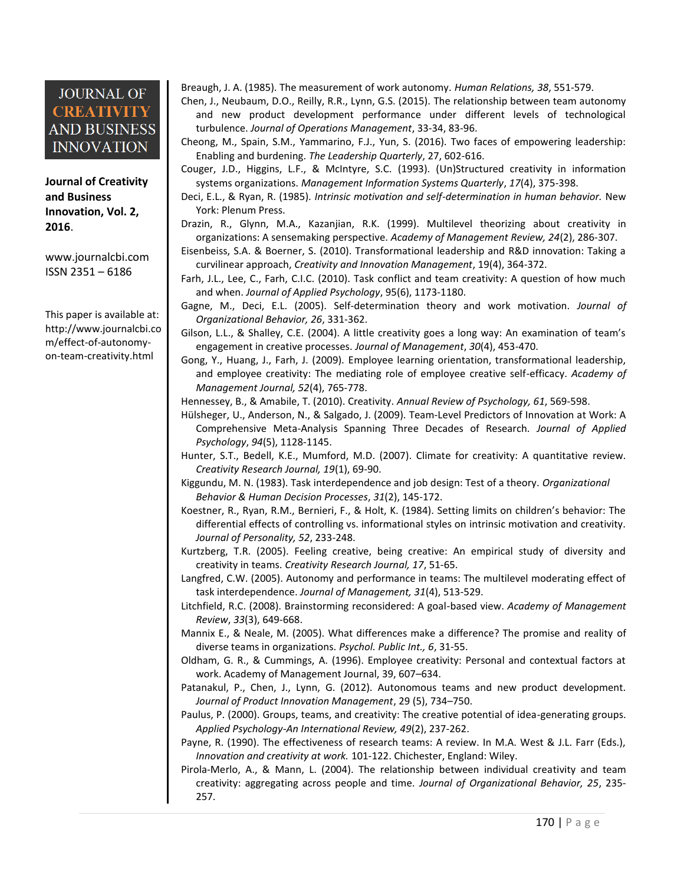**Journal of Creativity and Business Innovation, Vol. 2, 2016**.

[www.journalcbi.com](http://www.journalcbi.com/) ISSN 2351 – 6186

This paper is available at: [http://www.journalcbi.co](http://www.journalcbi.com/ideation-using-analogies.html) [m/effect-of-autonomy](http://www.journalcbi.com/ideation-using-analogies.html)[on-team-creativity.html](http://www.journalcbi.com/ideation-using-analogies.html)

Breaugh, J. A. (1985). The measurement of work autonomy. *Human Relations, 38*, 551-579.

- Chen, J., Neubaum, D.O., Reilly, R.R., Lynn, G.S. (2015). The relationship between team autonomy and new product development performance under different levels of technological turbulence. *Journal of Operations Management*, 33-34, 83-96.
- Cheong, M., Spain, S.M., Yammarino, F.J., Yun, S. (2016). Two faces of empowering leadership: Enabling and burdening. *The Leadership Quarterly*, 27, 602-616.
- Couger, J.D., Higgins, L.F., & McIntyre, S.C. (1993). (Un)Structured creativity in information systems organizations. *Management Information Systems Quarterly*, *17*(4), 375-398.
- Deci, E.L., & Ryan, R. (1985). *Intrinsic motivation and self-determination in human behavior.* New York: Plenum Press.
- Drazin, R., Glynn, M.A., Kazanjian, R.K. (1999). Multilevel theorizing about creativity in organizations: A sensemaking perspective. *Academy of Management Review, 24*(2), 286-307.
- Eisenbeiss, S.A. & Boerner, S. (2010). Transformational leadership and R&D innovation: Taking a curvilinear approach, *Creativity and Innovation Management*, 19(4), 364-372.
- Farh, J.L., Lee, C., Farh, C.I.C. (2010). Task conflict and team creativity: A question of how much and when. *Journal of Applied Psychology*, 95(6), 1173-1180.
- Gagne, M., Deci, E.L. (2005). Self-determination theory and work motivation. *Journal of Organizational Behavior, 26*, 331-362.
- Gilson, L.L., & Shalley, C.E. (2004). A little creativity goes a long way: An examination of team's engagement in creative processes. *Journal of Management*, *30*(4), 453-470.
- Gong, Y., Huang, J., Farh, J. (2009). Employee learning orientation, transformational leadership, and employee creativity: The mediating role of employee creative self-efficacy. *Academy of Management Journal, 52*(4), 765-778.
- Hennessey, B., & Amabile, T. (2010). Creativity. *Annual Review of Psychology, 61*, 569-598.
- Hülsheger, U., Anderson, N., & Salgado, J. (2009). Team-Level Predictors of Innovation at Work: A Comprehensive Meta-Analysis Spanning Three Decades of Research. *Journal of Applied Psychology*, *94*(5), 1128-1145.
- Hunter, S.T., Bedell, K.E., Mumford, M.D. (2007). Climate for creativity: A quantitative review. *Creativity Research Journal, 19*(1), 69-90.
- Kiggundu, M. N. (1983). Task interdependence and job design: Test of a theory. *Organizational Behavior & Human Decision Processes*, *31*(2), 145-172.
- Koestner, R., Ryan, R.M., Bernieri, F., & Holt, K. (1984). Setting limits on children's behavior: The differential effects of controlling vs. informational styles on intrinsic motivation and creativity. *Journal of Personality, 52*, 233-248.
- Kurtzberg, T.R. (2005). Feeling creative, being creative: An empirical study of diversity and creativity in teams. *Creativity Research Journal, 17*, 51-65.
- Langfred, C.W. (2005). Autonomy and performance in teams: The multilevel moderating effect of task interdependence. *Journal of Management, 31*(4), 513-529.
- Litchfield, R.C. (2008). Brainstorming reconsidered: A goal-based view. *Academy of Management Review*, *33*(3), 649-668.
- Mannix E., & Neale, M. (2005). What differences make a difference? The promise and reality of diverse teams in organizations. *Psychol. Public Int., 6*, 31-55.
- Oldham, G. R., & Cummings, A. (1996). Employee creativity: Personal and contextual factors at work. Academy of Management Journal, 39, 607–634.
- Patanakul, P., Chen, J., Lynn, G. (2012). Autonomous teams and new product development. *Journal of Product Innovation Management*, 29 (5), 734–750.
- Paulus, P. (2000). Groups, teams, and creativity: The creative potential of idea-generating groups. *Applied Psychology-An International Review, 49*(2), 237-262.
- Payne, R. (1990). The effectiveness of research teams: A review. In M.A. West & J.L. Farr (Eds.), *Innovation and creativity at work.* 101-122. Chichester, England: Wiley.
- Pirola-Merlo, A., & Mann, L. (2004). The relationship between individual creativity and team creativity: aggregating across people and time. *Journal of Organizational Behavior, 25*, 235- 257.